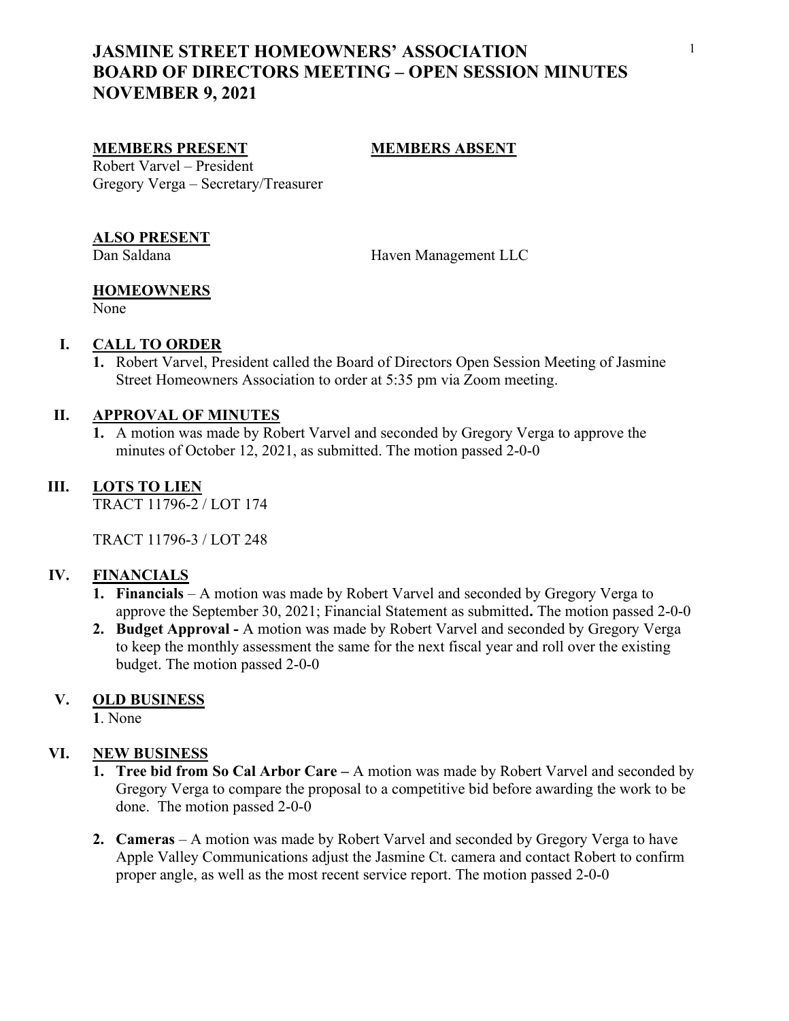# JASMINE STREET HOMEOWNERS' ASSOCIATION BOARD OF DIRECTORS MEETING – OPEN SESSION MINUTES NOVEMBER 9, 2021

### MEMBERS PRESENT MEMBERS ABSENT

Robert Varvel – President Gregory Verga – Secretary/Treasurer

#### ALSO PRESENT

Dan Saldana Haven Management LLC

### **HOMEOWNERS**

None

## I. CALL TO ORDER

1. Robert Varvel, President called the Board of Directors Open Session Meeting of Jasmine Street Homeowners Association to order at 5:35 pm via Zoom meeting.

### II. APPROVAL OF MINUTES

1. A motion was made by Robert Varvel and seconded by Gregory Verga to approve the minutes of October 12, 2021, as submitted. The motion passed 2-0-0

## III. LOTS TO LIEN

TRACT 11796-2 / LOT 174

TRACT 11796-3 / LOT 248

### IV. FINANCIALS

- 1. Financials A motion was made by Robert Varvel and seconded by Gregory Verga to approve the September 30, 2021; Financial Statement as submitted. The motion passed 2-0-0
- 2. Budget Approval A motion was made by Robert Varvel and seconded by Gregory Verga to keep the monthly assessment the same for the next fiscal year and roll over the existing budget. The motion passed 2-0-0

### V. OLD BUSINESS

1. None

### VI. NEW BUSINESS

- 1. Tree bid from So Cal Arbor Care A motion was made by Robert Varvel and seconded by Gregory Verga to compare the proposal to a competitive bid before awarding the work to be done. The motion passed 2-0-0
- 2. Cameras A motion was made by Robert Varvel and seconded by Gregory Verga to have Apple Valley Communications adjust the Jasmine Ct. camera and contact Robert to confirm proper angle, as well as the most recent service report. The motion passed 2-0-0